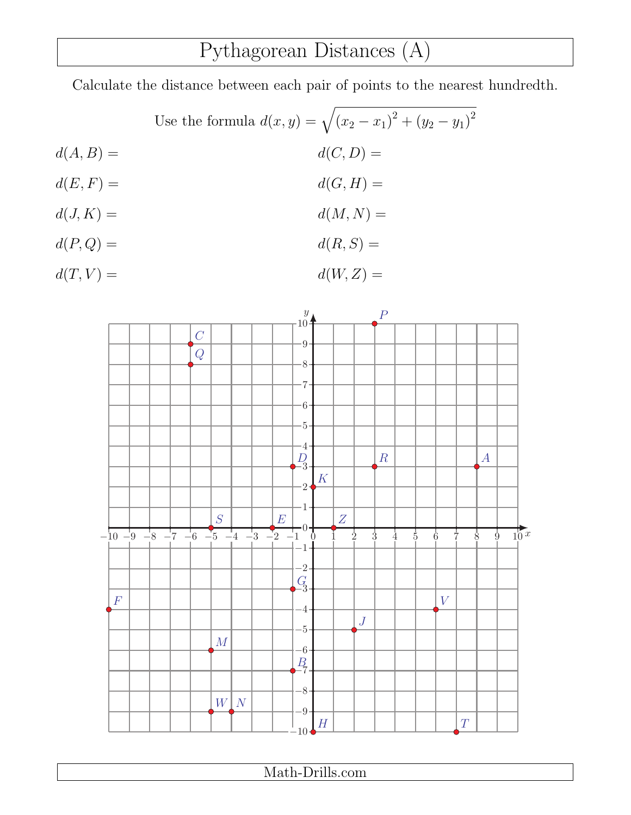## Pythagorean Distances (A)

Calculate the distance between each pair of points to the nearest hundredth.

Use the formula  $d(x, y) = \sqrt{(x_2 - x_1)^2 + (y_2 - y_1)^2}$  $d(A, B) = d(C, D) =$  $d(E, F) = d(G, H) =$  $d(J, K) = d(M, N) =$  $d(P,Q) = d(R, S) =$ 

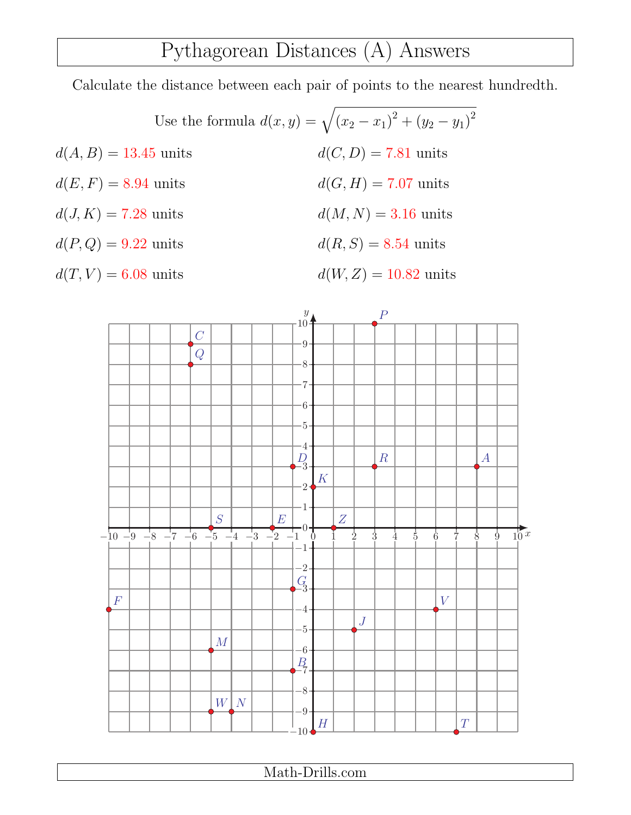### Pythagorean Distances (A) Answers

Calculate the distance between each pair of points to the nearest hundredth.

Use the formula  $d(x, y) = \sqrt{(x_2 - x_1)^2 + (y_2 - y_1)^2}$  $d(A, B) = 13.45 \text{ units}$   $d(C, D) = 7.81 \text{ units}$  $d(E, F) = 8.94 \text{ units}$   $d(G, H) = 7.07 \text{ units}$  $d(J, K) = 7.28 \text{ units}$   $d(M, N) = 3.16 \text{ units}$  $d(P,Q) = 9.22 \text{ units}$   $d(R, S) = 8.54 \text{ units}$  $d(T, V) = 6.08$  units  $d(W, Z) = 10.82$  units

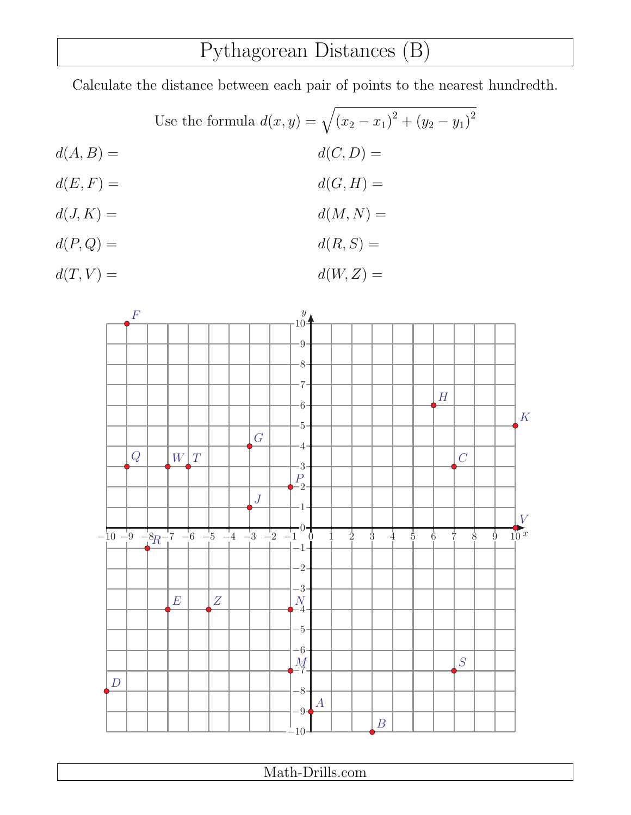## Pythagorean Distances (B)

Calculate the distance between each pair of points to the nearest hundredth.

Use the formula  $d(x, y) = \sqrt{(x_2 - x_1)^2 + (y_2 - y_1)^2}$  $d(A, B) = d(C, D) =$  $d(E, F) = d(G, H) =$  $d(J, K) = d(M, N) =$  $d(P,Q) = d(R, S) =$  $d(T, V) = d(W, Z) =$ 

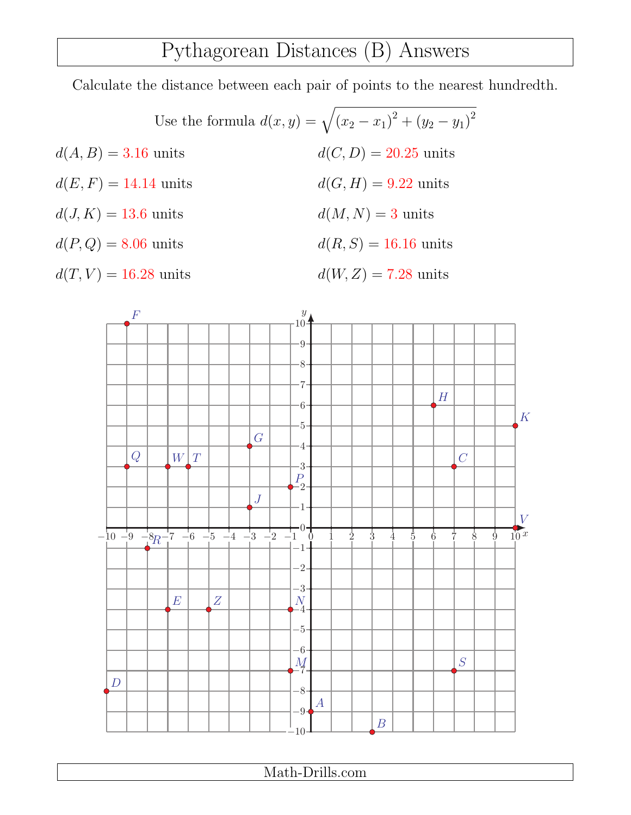### Pythagorean Distances (B) Answers

Calculate the distance between each pair of points to the nearest hundredth.

Use the formula  $d(x, y) = \sqrt{(x_2 - x_1)^2 + (y_2 - y_1)^2}$  $d(A, B) = 3.16$  units  $d(C, D) = 20.25$  units  $d(E, F) = 14.14 \text{ units}$   $d(G, H) = 9.22 \text{ units}$  $d(J, K) = 13.6 \text{ units}$   $d(M, N) = 3 \text{ units}$  $d(P,Q) = 8.06 \text{ units}$   $d(R, S) = 16.16 \text{ units}$  $d(T, V) = 16.28 \text{ units}$   $d(W, Z) = 7.28 \text{ units}$ 

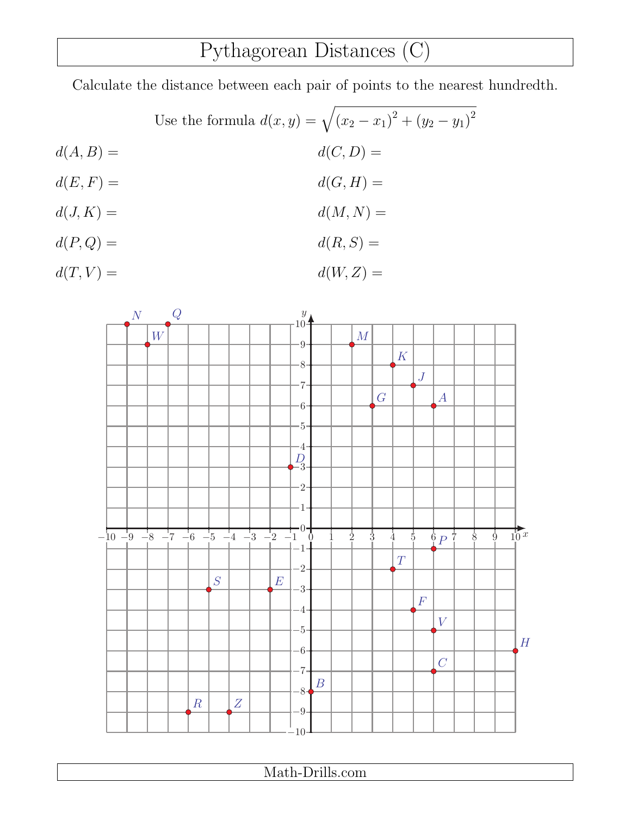## Pythagorean Distances (C)

Calculate the distance between each pair of points to the nearest hundredth.

Use the formula  $d(x, y) = \sqrt{(x_2 - x_1)^2 + (y_2 - y_1)^2}$  $d(A, B) = d(C, D) =$  $d(E, F) = d(G, H) =$  $d(J, K) = d(M, N) =$  $d(P,Q) = d(R, S) =$ 

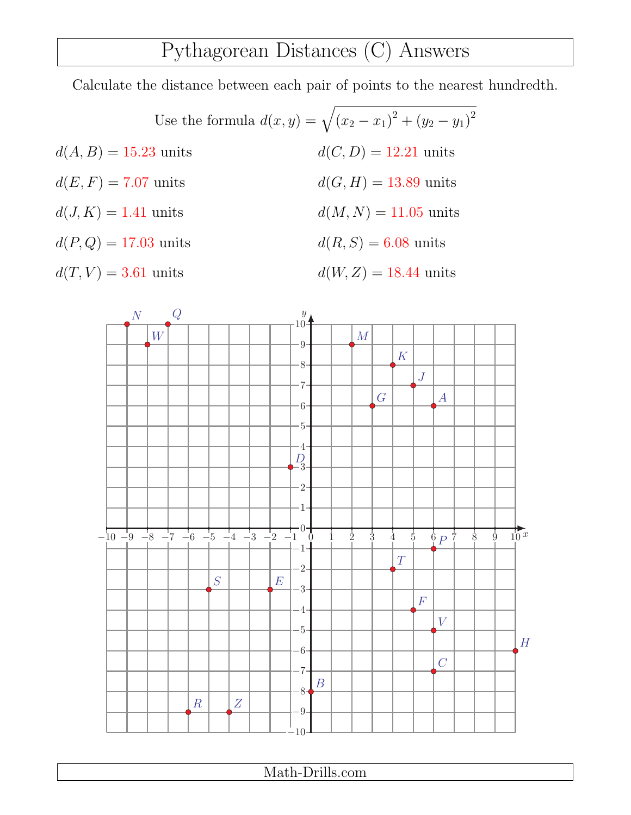### Pythagorean Distances (C) Answers

Calculate the distance between each pair of points to the nearest hundredth.

Use the formula  $d(x, y) = \sqrt{(x_2 - x_1)^2 + (y_2 - y_1)^2}$  $d(A, B) = 15.23 \text{ units}$   $d(C, D) = 12.21 \text{ units}$  $d(E, F) = 7.07 \text{ units}$   $d(G, H) = 13.89 \text{ units}$  $d(J, K) = 1.41$  units  $d(M, N) = 11.05$  units  $d(P,Q) = 17.03 \text{ units}$   $d(R, S) = 6.08 \text{ units}$  $d(T, V) = 3.61 \text{ units}$   $d(W, Z) = 18.44 \text{ units}$ 

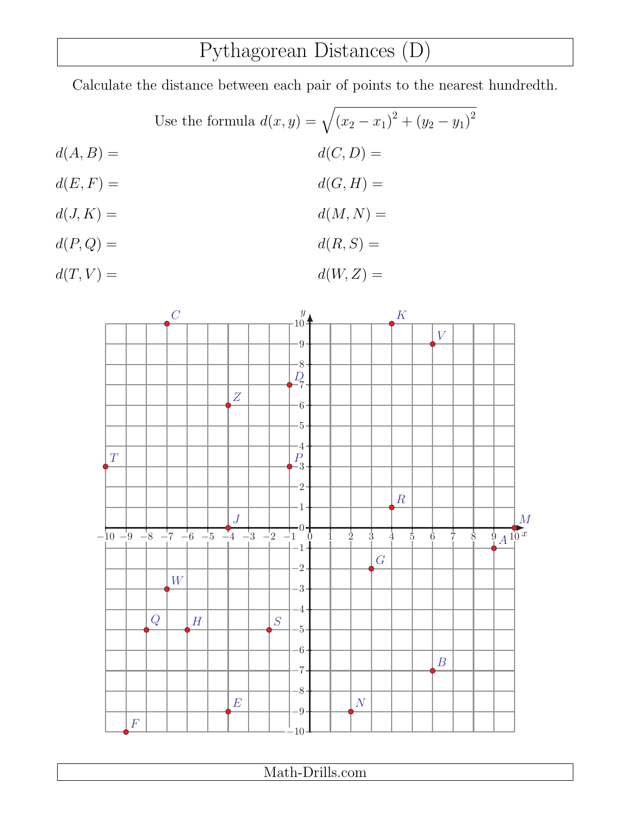## Pythagorean Distances (D)

Calculate the distance between each pair of points to the nearest hundredth.

Use the formula  $d(x, y) = \sqrt{(x_2 - x_1)^2 + (y_2 - y_1)^2}$  $d(A, B) = d(C, D) =$  $d(E, F) = d(G, H) =$  $d(J, K) = d(M, N) =$  $d(P,Q) = d(R, S) =$ 

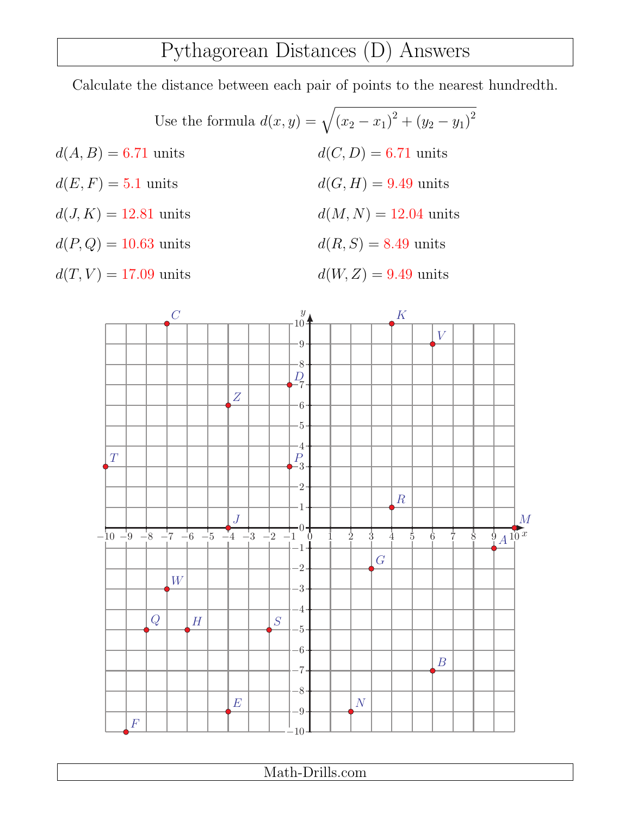#### Pythagorean Distances (D) Answers

Calculate the distance between each pair of points to the nearest hundredth.

Use the formula  $d(x, y) = \sqrt{(x_2 - x_1)^2 + (y_2 - y_1)^2}$  $d(A, B) = 6.71 \text{ units}$   $d(C, D) = 6.71 \text{ units}$  $d(E, F) = 5.1 \text{ units}$   $d(G, H) = 9.49 \text{ units}$  $d(J, K) = 12.81$  units  $d(M, N) = 12.04$  units  $d(P,Q) = 10.63 \text{ units}$   $d(R, S) = 8.49 \text{ units}$  $d(T, V) = 17.09 \text{ units}$   $d(W, Z) = 9.49 \text{ units}$ 

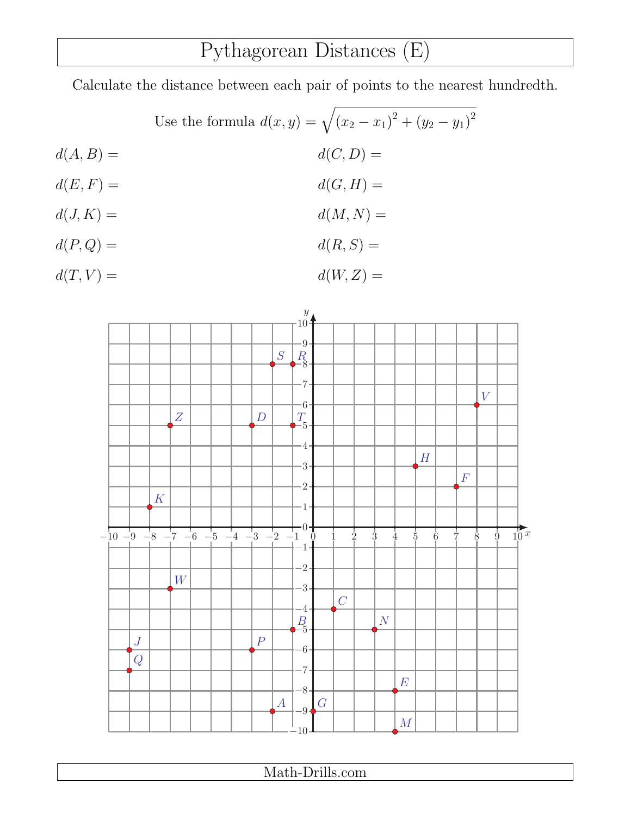# Pythagorean Distances (E)

Calculate the distance between each pair of points to the nearest hundredth.

Use the formula 
$$
d(x, y) = \sqrt{(x_2 - x_1)^2 + (y_2 - y_1)^2}
$$

$$
d(A, B) = d(E, F) = d(G, H) = d(M, N) = d(P, Q) = d(R, S) = d(R, S) =
$$

 $d(T, V) = d(W, Z) =$ 

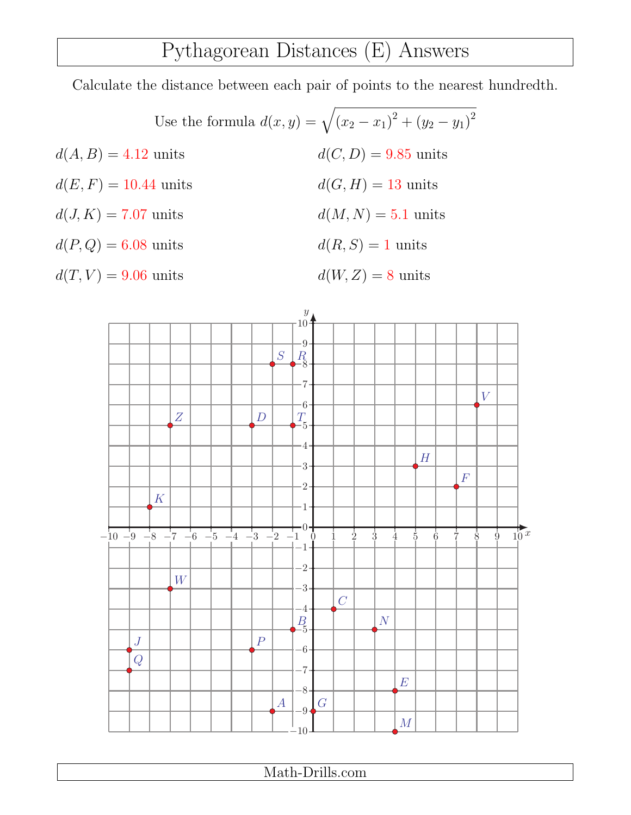### Pythagorean Distances (E) Answers

Calculate the distance between each pair of points to the nearest hundredth.

Use the formula  $d(x, y) = \sqrt{(x_2 - x_1)^2 + (y_2 - y_1)^2}$  $d(A, B) = 4.12 \text{ units}$   $d(C, D) = 9.85 \text{ units}$  $d(E, F) = 10.44 \text{ units}$   $d(G, H) = 13 \text{ units}$  $d(J, K) = 7.07 \text{ units}$   $d(M, N) = 5.1 \text{ units}$  $d(P,Q) = 6.08 \text{ units}$   $d(R, S) = 1 \text{ units}$  $d(T, V) = 9.06 \text{ units}$   $d(W, Z) = 8 \text{ units}$ 

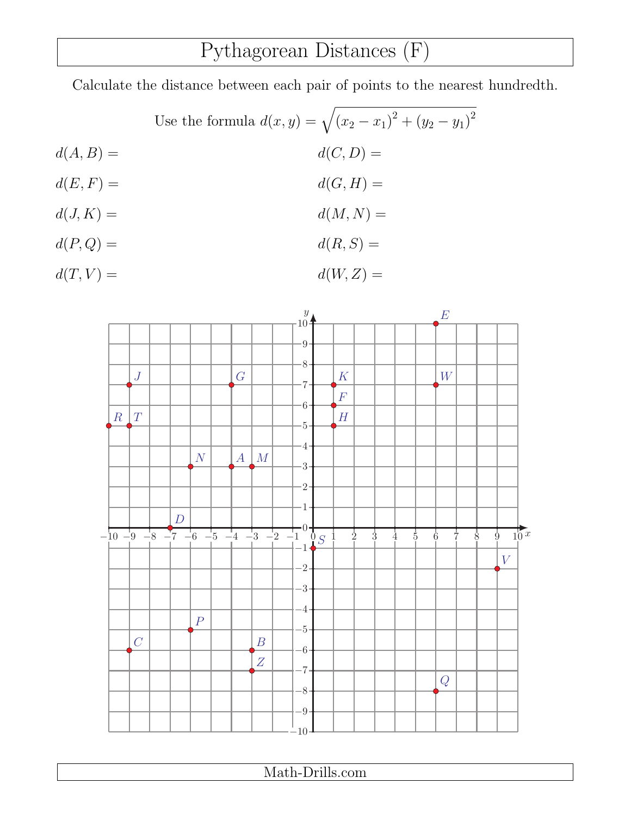### Pythagorean Distances (F)

Calculate the distance between each pair of points to the nearest hundredth.

Use the formula  $d(x, y) = \sqrt{(x_2 - x_1)^2 + (y_2 - y_1)^2}$  $d(A, B) = d(C, D) =$  $d(E, F) = d(G, H) =$  $d(J, K) = d(M, N) =$  $d(P,Q) = d(R, S) =$ 

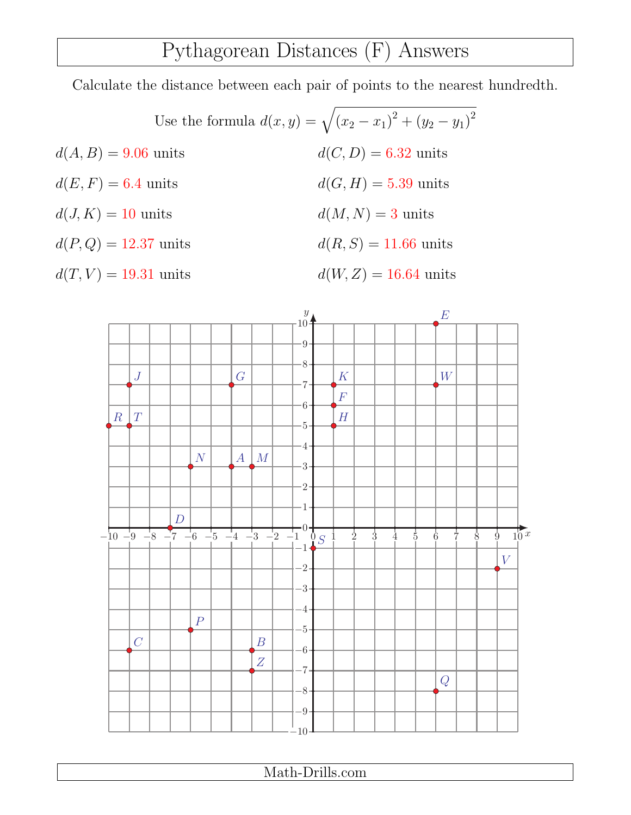### Pythagorean Distances (F) Answers

Calculate the distance between each pair of points to the nearest hundredth.

Use the formula  $d(x, y) = \sqrt{(x_2 - x_1)^2 + (y_2 - y_1)^2}$  $d(A, B) = 9.06$  units  $d(C, D) = 6.32$  units  $d(E, F) = 6.4 \text{ units}$   $d(G, H) = 5.39 \text{ units}$  $d(J, K) = 10$  units  $d(M, N) = 3$  units  $d(P,Q) = 12.37 \text{ units}$   $d(R, S) = 11.66 \text{ units}$  $d(T, V) = 19.31 \text{ units}$   $d(W, Z) = 16.64 \text{ units}$ 

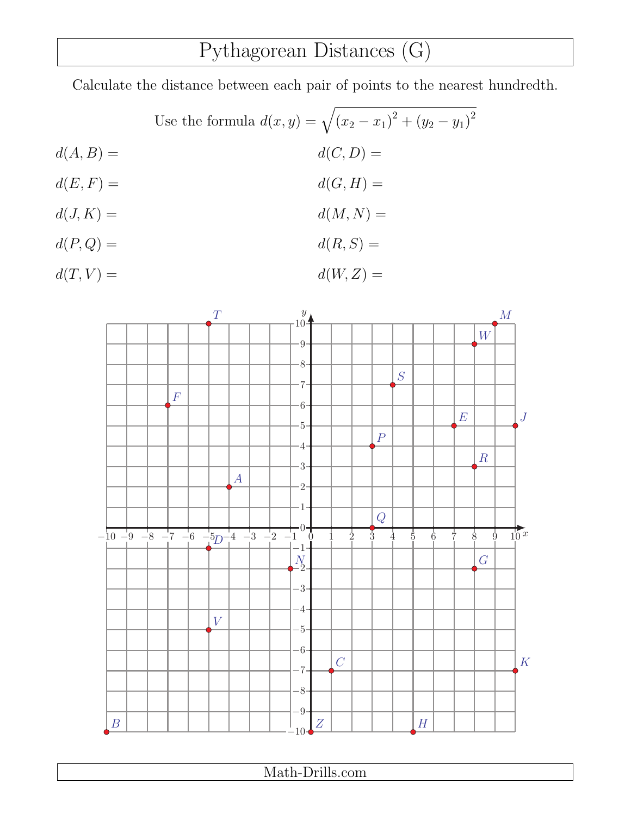# Pythagorean Distances (G)

Calculate the distance between each pair of points to the nearest hundredth.

Use the formula  $d(x, y) = \sqrt{(x_2 - x_1)^2 + (y_2 - y_1)^2}$  $d(A, B) = d(C, D) =$  $d(E, F) = d(G, H) =$  $d(J, K) = d(M, N) =$  $d(P,Q) = d(R, S) =$ 

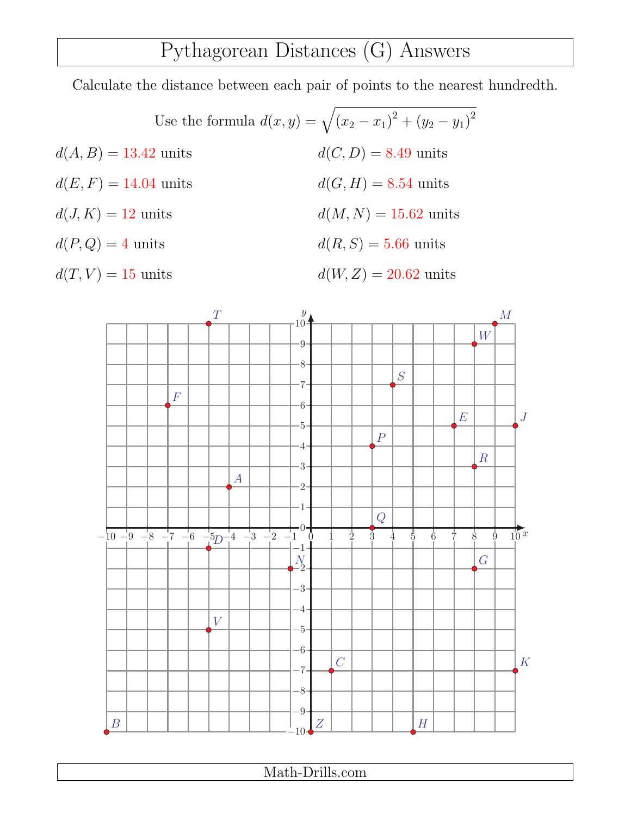### Pythagorean Distances (G) Answers

Calculate the distance between each pair of points to the nearest hundredth.

Use the formula  $d(x, y) = \sqrt{(x_2 - x_1)^2 + (y_2 - y_1)^2}$  $d(A, B) = 13.42 \text{ units}$   $d(C, D) = 8.49 \text{ units}$  $d(E, F) = 14.04 \text{ units}$   $d(G, H) = 8.54 \text{ units}$  $d(J, K) = 12 \text{ units}$   $d(M, N) = 15.62 \text{ units}$  $d(P,Q) = 4 \text{ units}$   $d(R, S) = 5.66 \text{ units}$  $d(T, V) = 15 \text{ units}$   $d(W, Z) = 20.62 \text{ units}$ 

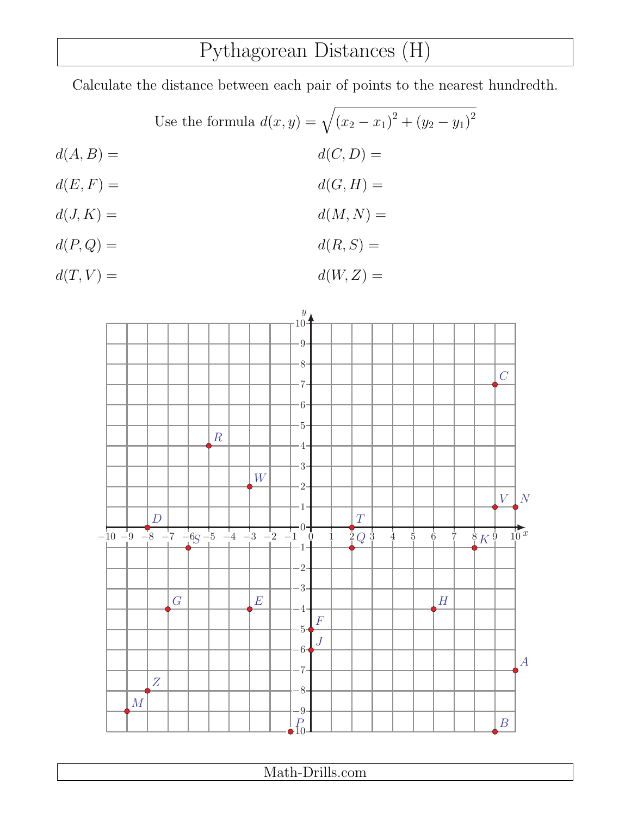# Pythagorean Distances (H)

Calculate the distance between each pair of points to the nearest hundredth.

Use the formula 
$$
d(x, y) = \sqrt{(x_2 - x_1)^2 + (y_2 - y_1)^2}
$$

$$
d(A, B) =
$$

$$
d(C, D) =
$$

$$
d(C, H) =
$$

$$
d(J, K) =
$$

$$
d(J, K) =
$$

$$
d(M, N) =
$$

$$
d(R, S) =
$$

 $d(T, V) = d(W, Z) =$ 

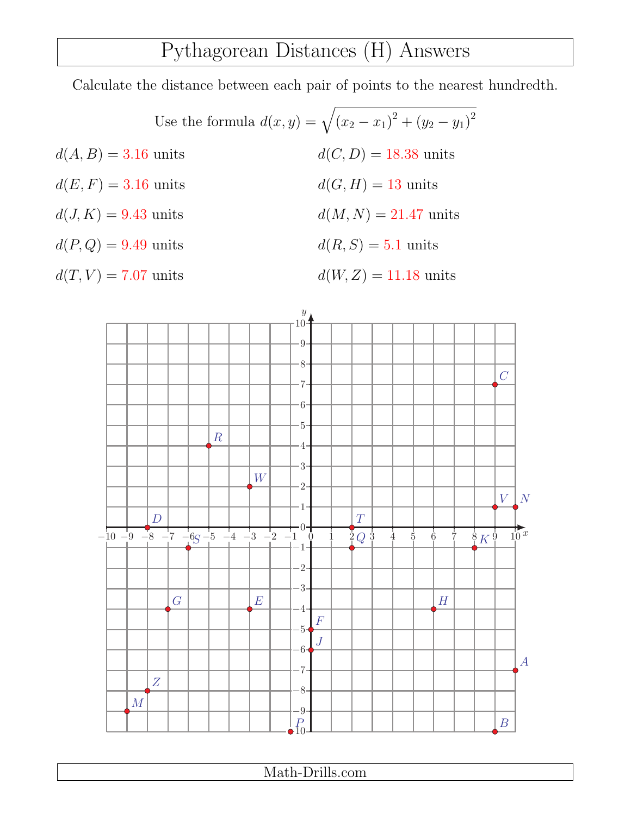### Pythagorean Distances (H) Answers

Calculate the distance between each pair of points to the nearest hundredth.

Use the formula  $d(x, y) = \sqrt{(x_2 - x_1)^2 + (y_2 - y_1)^2}$  $d(A, B) = 3.16$  units  $d(C, D) = 18.38$  units  $d(E, F) = 3.16 \text{ units}$   $d(G, H) = 13 \text{ units}$  $d(J, K) = 9.43$  units  $d(M, N) = 21.47$  units  $d(P,Q) = 9.49 \text{ units}$   $d(R, S) = 5.1 \text{ units}$  $d(T, V) = 7.07 \text{ units}$   $d(W, Z) = 11.18 \text{ units}$ 

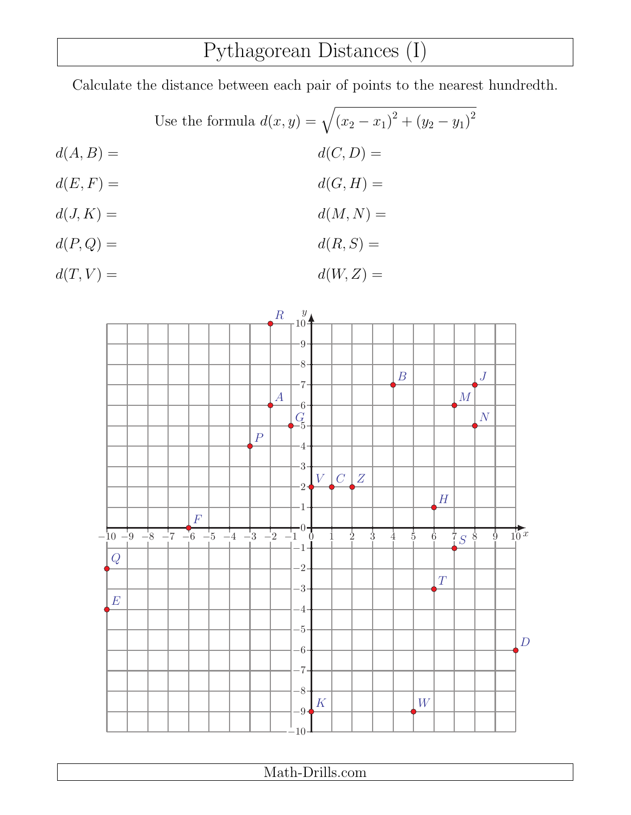### Pythagorean Distances (I)

Calculate the distance between each pair of points to the nearest hundredth.

Use the formula  $d(x, y) = \sqrt{(x_2 - x_1)^2 + (y_2 - y_1)^2}$  $d(A, B) = d(C, D) =$  $d(E, F) = d(G, H) =$  $d(J, K) = d(M, N) =$  $d(P,Q) = d(R, S) =$ 

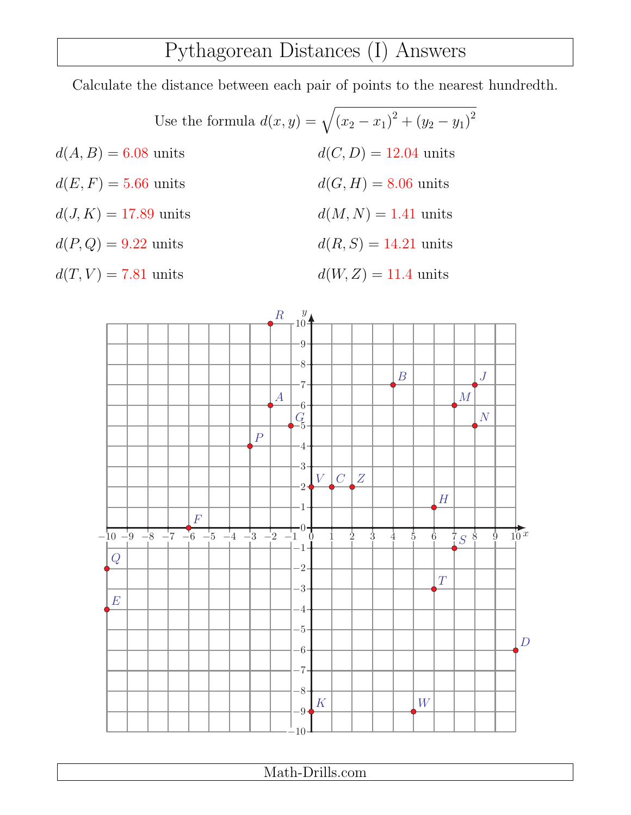#### Pythagorean Distances (I) Answers

Calculate the distance between each pair of points to the nearest hundredth.

Use the formula  $d(x, y) = \sqrt{(x_2 - x_1)^2 + (y_2 - y_1)^2}$  $d(A, B) = 6.08$  units  $d(C, D) = 12.04$  units  $d(E, F) = 5.66$  units  $d(G, H) = 8.06$  units  $d(J, K) = 17.89$  units  $d(M, N) = 1.41$  units  $d(P,Q) = 9.22 \text{ units}$   $d(R, S) = 14.21 \text{ units}$  $d(T, V) = 7.81 \text{ units}$   $d(W, Z) = 11.4 \text{ units}$ 

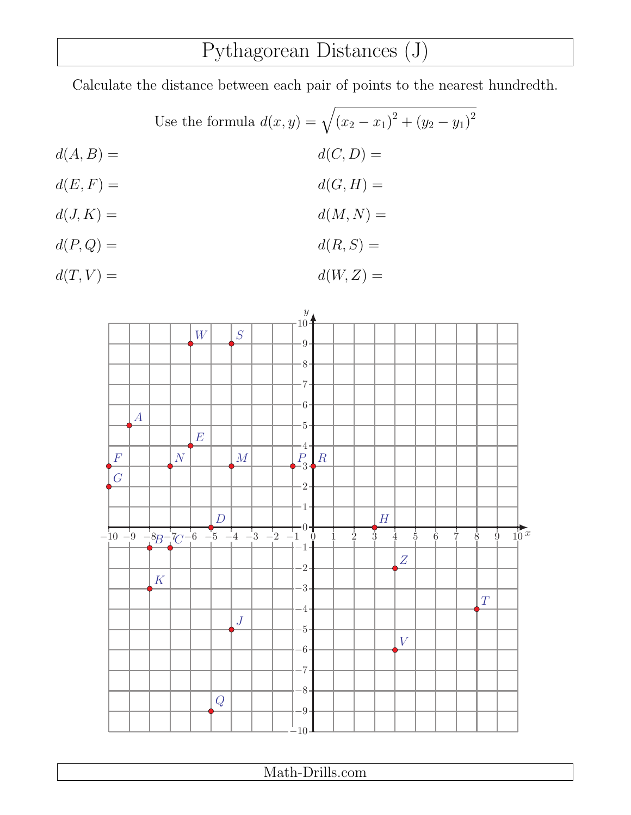# Pythagorean Distances (J)

Calculate the distance between each pair of points to the nearest hundredth.

Use the formula 
$$
d(x, y) = \sqrt{(x_2 - x_1)^2 + (y_2 - y_1)^2}
$$

$$
d(A, B) =
$$

$$
d(C, D) =
$$

$$
d(C, H) =
$$

$$
d(A, K) =
$$

$$
d(A, K) =
$$

$$
d(M, N) =
$$

$$
d(R, S) =
$$

 $d(T, V) = d(W, Z) =$